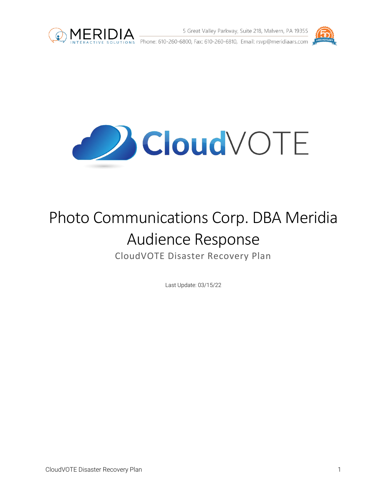

**MERIDIA** 5 Great Valley Parkway, Suite 218, Malvern, PA 19355<br>
INTERACTIVE SOLUTIONS Phone: 610-260-6800, Fax: 610-260-6810, Email: rsvp@meridiaars.com 5 Great Valley Parkway, Suite 218, Malvern, PA 19355



**Cloud** VOTE

# Photo Communications Corp. DBA Meridia Audience Response CloudVOTE Disaster Recovery Plan

Last Update: 03/15/22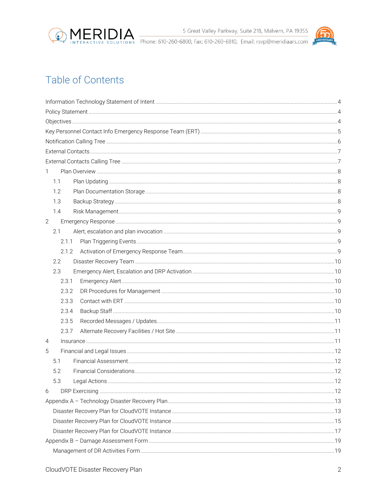



# **Table of Contents**

| 1            |  |
|--------------|--|
| 1.1          |  |
| 1.2          |  |
| 1.3          |  |
| 1.4          |  |
| $\mathbf{2}$ |  |
| 2.1          |  |
| 2.1.1        |  |
| 2.1.2        |  |
| 2.2          |  |
| 2.3          |  |
| 2.3.1        |  |
| 2.3.2        |  |
| 2.3.3        |  |
| 2.3.4        |  |
| 2.3.5        |  |
| 2.3.7        |  |
| 4            |  |
| 5            |  |
| 5.1          |  |
| 5.2          |  |
| 5.3          |  |
| 6            |  |
|              |  |
|              |  |
|              |  |
|              |  |
|              |  |
|              |  |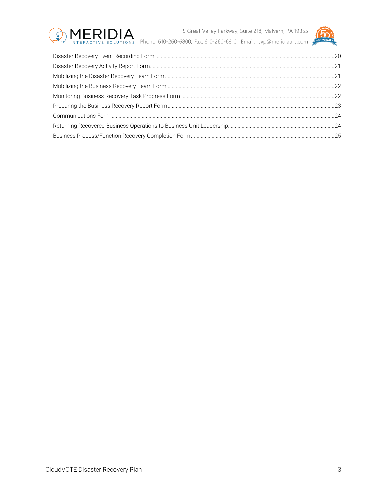

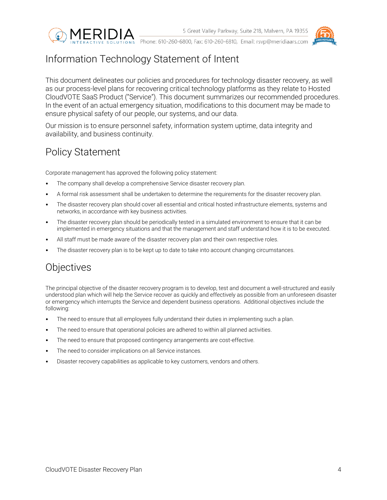



# <span id="page-3-0"></span>Information Technology Statement of Intent

This document delineates our policies and procedures for technology disaster recovery, as well as our process-level plans for recovering critical technology platforms as they relate to Hosted CloudVOTE SaaS Product ("Service"). This document summarizes our recommended procedures. In the event of an actual emergency situation, modifications to this document may be made to ensure physical safety of our people, our systems, and our data.

Our mission is to ensure personnel safety, information system uptime, data integrity and availability, and business continuity.

# <span id="page-3-1"></span>Policy Statement

Corporate management has approved the following policy statement:

- The company shall develop a comprehensive Service disaster recovery plan.
- A formal risk assessment shall be undertaken to determine the requirements for the disaster recovery plan.
- The disaster recovery plan should cover all essential and critical hosted infrastructure elements, systems and networks, in accordance with key business activities.
- The disaster recovery plan should be periodically tested in a simulated environment to ensure that it can be implemented in emergency situations and that the management and staff understand how it is to be executed.
- All staff must be made aware of the disaster recovery plan and their own respective roles.
- The disaster recovery plan is to be kept up to date to take into account changing circumstances.

# <span id="page-3-2"></span>**Objectives**

The principal objective of the disaster recovery program is to develop, test and document a well-structured and easily understood plan which will help the Service recover as quickly and effectively as possible from an unforeseen disaster or emergency which interrupts the Service and dependent business operations. Additional objectives include the following:

- The need to ensure that all employees fully understand their duties in implementing such a plan.
- The need to ensure that operational policies are adhered to within all planned activities.
- The need to ensure that proposed contingency arrangements are cost-effective.
- The need to consider implications on all Service instances.
- Disaster recovery capabilities as applicable to key customers, vendors and others.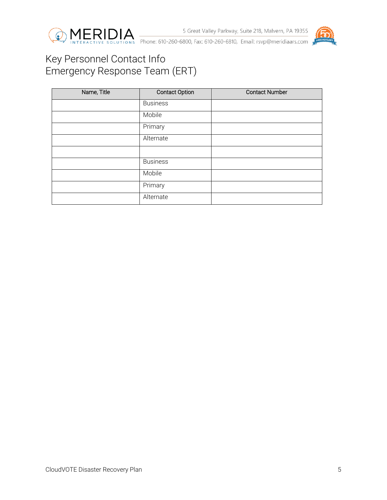



# <span id="page-4-0"></span>Key Personnel Contact Info Emergency Response Team (ERT)

| Name, Title | <b>Contact Option</b> | <b>Contact Number</b> |
|-------------|-----------------------|-----------------------|
|             | <b>Business</b>       |                       |
|             | Mobile                |                       |
|             | Primary               |                       |
|             | Alternate             |                       |
|             |                       |                       |
|             | <b>Business</b>       |                       |
|             | Mobile                |                       |
|             | Primary               |                       |
|             | Alternate             |                       |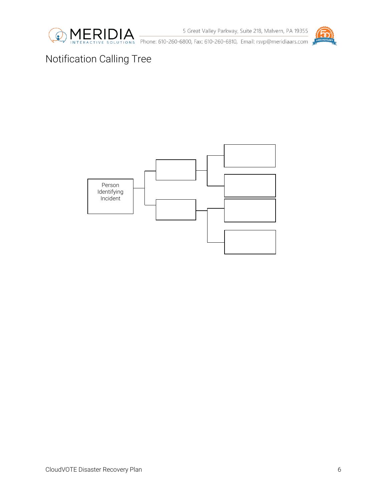

5 Great Valley Parkway, Suite 218, Malvern, PA 19355



Phone: 610-260-6800, Fax: 610-260-6810, Email: rsvp@meridiaars.com

# <span id="page-5-0"></span>Notification Calling Tree

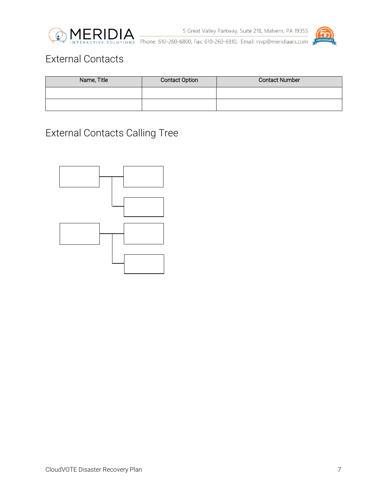



# <span id="page-6-0"></span>External Contacts

| Name, Title | <b>Contact Option</b> | <b>Contact Number</b> |
|-------------|-----------------------|-----------------------|
|             |                       |                       |
|             |                       |                       |

# <span id="page-6-1"></span>External Contacts Calling Tree

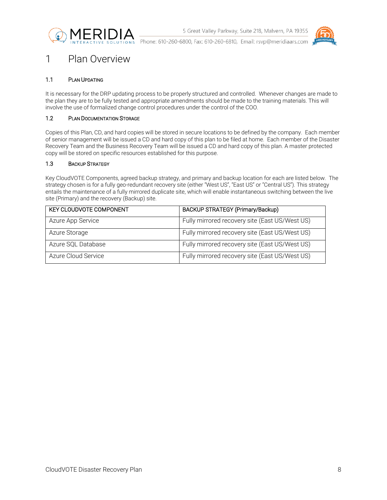



### <span id="page-7-0"></span>1 Plan Overview

#### <span id="page-7-1"></span>1.1 PLAN UPDATING

It is necessary for the DRP updating process to be properly structured and controlled. Whenever changes are made to the plan they are to be fully tested and appropriate amendments should be made to the training materials. This will involve the use of formalized change control procedures under the control of the COO.

#### <span id="page-7-2"></span>1.2 PLAN DOCUMENTATION STORAGE

Copies of this Plan, CD, and hard copies will be stored in secure locations to be defined by the company. Each member of senior management will be issued a CD and hard copy of this plan to be filed at home. Each member of the Disaster Recovery Team and the Business Recovery Team will be issued a CD and hard copy of this plan. A master protected copy will be stored on specific resources established for this purpose.

#### <span id="page-7-3"></span>1.3 BACKUP STRATEGY

Key CloudVOTE Components, agreed backup strategy, and primary and backup location for each are listed below. The strategy chosen is for a fully geo-redundant recovery site (either "West US", "East US" or "Central US"). This strategy entails the maintenance of a fully mirrored duplicate site, which will enable instantaneous switching between the live site (Primary) and the recovery (Backup) site.

| <b>KEY CLOUDVOTE COMPONENT</b> | <b>BACKUP STRATEGY (Primary/Backup)</b>        |
|--------------------------------|------------------------------------------------|
| Azure App Service              | Fully mirrored recovery site (East US/West US) |
| Azure Storage                  | Fully mirrored recovery site (East US/West US) |
| Azure SQL Database             | Fully mirrored recovery site (East US/West US) |
| Azure Cloud Service            | Fully mirrored recovery site (East US/West US) |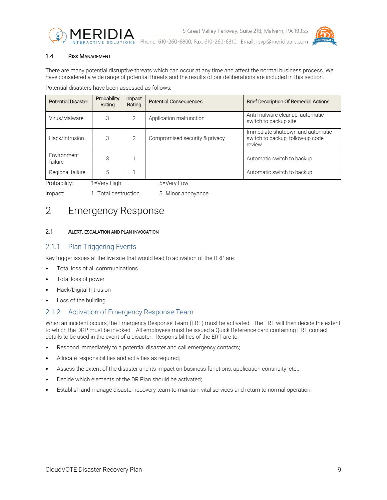



#### <span id="page-8-0"></span>1.4 RISK MANAGEMENT

There are many potential disruptive threats which can occur at any time and affect the normal business process. We have considered a wide range of potential threats and the results of our deliberations are included in this section.

Potential disasters have been assessed as follows:

| <b>Potential Disaster</b> | Probability<br>Rating | Impact<br>Rating | <b>Potential Consequences</b>  | <b>Brief Description Of Remedial Actions</b>                                   |
|---------------------------|-----------------------|------------------|--------------------------------|--------------------------------------------------------------------------------|
| Virus/Malware             | 3                     | $\overline{2}$   | Application malfunction        | Anti-malware cleanup, automatic<br>switch to backup site                       |
| Hack/Intrusion            | 3                     | $\overline{2}$   | Compromised security & privacy | Immediate shutdown and automatic<br>switch to backup, follow-up code<br>review |
| Environment<br>failure    | 3                     |                  |                                | Automatic switch to backup                                                     |
| Regional failure          | 5                     |                  |                                | Automatic switch to backup                                                     |
| Probability:              | 1=Very High           |                  | 5=Very Low                     |                                                                                |

Impact: 1=Total destruction 5=Minor annoyance

## <span id="page-8-1"></span>2 Emergency Response

#### <span id="page-8-2"></span>2.1 ALERT, ESCALATION AND PLAN INVOCATION

### <span id="page-8-3"></span>2.1.1 Plan Triggering Events

Key trigger issues at the live site that would lead to activation of the DRP are:

- Total loss of all communications
- Total loss of power
- Hack/Digital Intrusion
- Loss of the building

### <span id="page-8-4"></span>2.1.2 Activation of Emergency Response Team

When an incident occurs, the Emergency Response Team (ERT) must be activated. The ERT will then decide the extent to which the DRP must be invoked. All employees must be issued a Quick Reference card containing ERT contact details to be used in the event of a disaster. Responsibilities of the ERT are to:

- Respond immediately to a potential disaster and call emergency contacts;
- Allocate responsibilities and activities as required;
- Assess the extent of the disaster and its impact on business functions, application continuity, etc.;
- Decide which elements of the DR Plan should be activated;
- Establish and manage disaster recovery team to maintain vital services and return to normal operation.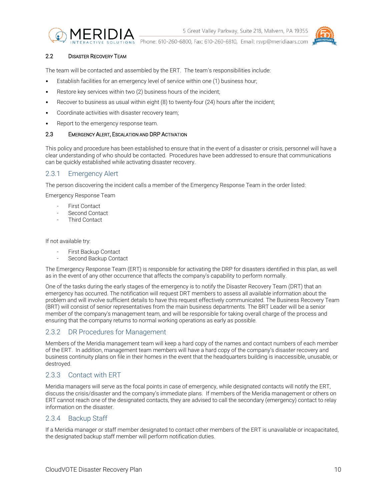

5 Great Valley Parkway, Suite 218, Malvern, PA 19355

Phone: 610-260-6800, Fax: 610-260-6810, Email: rsvp@meridiaars.com

#### <span id="page-9-0"></span>2.2 DISASTER RECOVERY TEAM

The team will be contacted and assembled by the ERT. The team's responsibilities include:

- Establish facilities for an emergency level of service within one (1) business hour;
- Restore key services within two (2) business hours of the incident:
- Recover to business as usual within eight (8) to twenty-four (24) hours after the incident;
- Coordinate activities with disaster recovery team;
- Report to the emergency response team.

#### <span id="page-9-1"></span>2.3 EMERGENCY ALERT, ESCALATION AND DRP ACTIVATION

This policy and procedure has been established to ensure that in the event of a disaster or crisis, personnel will have a clear understanding of who should be contacted. Procedures have been addressed to ensure that communications can be quickly established while activating disaster recovery.

### <span id="page-9-2"></span>2.3.1 Emergency Alert

The person discovering the incident calls a member of the Emergency Response Team in the order listed:

Emergency Response Team

- First Contact
- Second Contact
- Third Contact

If not available try:

- First Backup Contact
- Second Backup Contact

The Emergency Response Team (ERT) is responsible for activating the DRP for disasters identified in this plan, as well as in the event of any other occurrence that affects the company's capability to perform normally.

One of the tasks during the early stages of the emergency is to notify the Disaster Recovery Team (DRT) that an emergency has occurred. The notification will request DRT members to assess all available information about the problem and will involve sufficient details to have this request effectively communicated. The Business Recovery Team (BRT) will consist of senior representatives from the main business departments. The BRT Leader will be a senior member of the company's management team, and will be responsible for taking overall charge of the process and ensuring that the company returns to normal working operations as early as possible.

#### <span id="page-9-3"></span>2.3.2 DR Procedures for Management

Members of the Meridia management team will keep a hard copy of the names and contact numbers of each member of the ERT. In addition, management team members will have a hard copy of the company's disaster recovery and business continuity plans on file in their homes in the event that the headquarters building is inaccessible, unusable, or destroyed.

#### <span id="page-9-4"></span>2.3.3 Contact with ERT

Meridia managers will serve as the focal points in case of emergency, while designated contacts will notify the ERT, discuss the crisis/disaster and the company's immediate plans. If members of the Meridia management or others on ERT cannot reach one of the designated contacts, they are advised to call the secondary (emergency) contact to relay information on the disaster.

#### <span id="page-9-5"></span>2.3.4 Backup Staff

If a Meridia manager or staff member designated to contact other members of the ERT is unavailable or incapacitated, the designated backup staff member will perform notification duties.

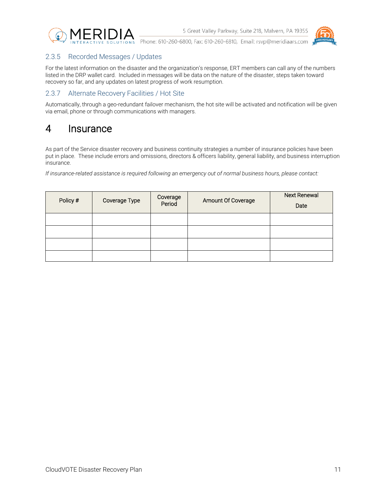



### <span id="page-10-0"></span>2.3.5 Recorded Messages / Updates

For the latest information on the disaster and the organization's response, ERT members can call any of the numbers listed in the DRP wallet card. Included in messages will be data on the nature of the disaster, steps taken toward recovery so far, and any updates on latest progress of work resumption.

### <span id="page-10-1"></span>2.3.7 Alternate Recovery Facilities / Hot Site

Automatically, through a geo-redundant failover mechanism, the hot site will be activated and notification will be given via email, phone or through communications with managers.

### <span id="page-10-2"></span>4 Insurance

As part of the Service disaster recovery and business continuity strategies a number of insurance policies have been put in place. These include errors and omissions, directors & officers liability, general liability, and business interruption insurance.

*If insurance-related assistance is required following an emergency out of normal business hours, please contact:* 

| Policy # | Coverage Type | Coverage<br>Period | Amount Of Coverage | <b>Next Renewal</b><br>Date |
|----------|---------------|--------------------|--------------------|-----------------------------|
|          |               |                    |                    |                             |
|          |               |                    |                    |                             |
|          |               |                    |                    |                             |
|          |               |                    |                    |                             |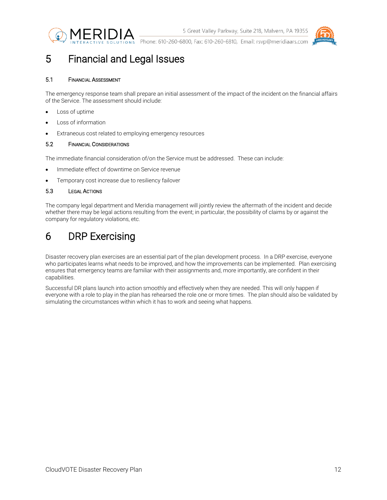



### <span id="page-11-0"></span>5 Financial and Legal Issues

#### <span id="page-11-1"></span>5.1 FINANCIAL ASSESSMENT

The emergency response team shall prepare an initial assessment of the impact of the incident on the financial affairs of the Service. The assessment should include:

- Loss of uptime
- Loss of information
- Extraneous cost related to employing emergency resources

#### <span id="page-11-2"></span>5.2 FINANCIAL CONSIDERATIONS

The immediate financial consideration of/on the Service must be addressed. These can include:

- Immediate effect of downtime on Service revenue
- Temporary cost increase due to resiliency failover

#### <span id="page-11-3"></span>5.3 LEGAL ACTIONS

The company legal department and Meridia management will jointly review the aftermath of the incident and decide whether there may be legal actions resulting from the event; in particular, the possibility of claims by or against the company for regulatory violations, etc.

# <span id="page-11-4"></span>6 DRP Exercising

Disaster recovery plan exercises are an essential part of the plan development process. In a DRP exercise, everyone who participates learns what needs to be improved, and how the improvements can be implemented. Plan exercising ensures that emergency teams are familiar with their assignments and, more importantly, are confident in their capabilities.

Successful DR plans launch into action smoothly and effectively when they are needed. This will only happen if everyone with a role to play in the plan has rehearsed the role one or more times. The plan should also be validated by simulating the circumstances within which it has to work and seeing what happens.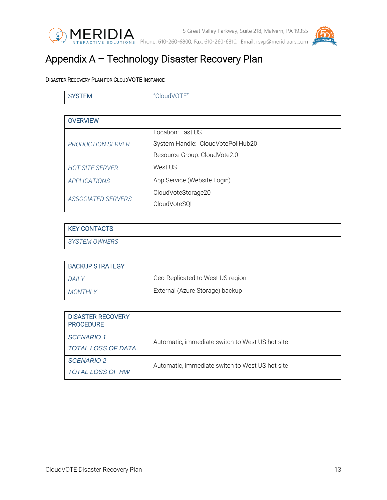



S Great Valley Parkway, Suite 218, Malvern, PA 19355<br>INTERACTIVE SOLUTIONS Phone: 610-260-6800, Fax: 610-260-6810, Email: rsvp@meridiaars.com

# <span id="page-12-0"></span>Appendix A – Technology Disaster Recovery Plan

### <span id="page-12-1"></span>DISASTER RECOVERY PLAN FOR CLOUDVOTE INSTANCE

| <b>SYSTEM</b>             | "CloudVOTE"                       |
|---------------------------|-----------------------------------|
|                           |                                   |
| <b>OVERVIEW</b>           |                                   |
|                           | Location: East US                 |
| PRODUCTION SERVER         | System Handle: CloudVotePollHub20 |
|                           | Resource Group: CloudVote2.0      |
| <b>HOT SITE SERVER</b>    | West US                           |
| APPLICATIONS              | App Service (Website Login)       |
| <b>ASSOCIATED SERVERS</b> | CloudVoteStorage20                |
|                           | CloudVoteSQL                      |

| KEY CONTACTS  |  |
|---------------|--|
| SYSTEM OWNERS |  |

| <b>BACKUP STRATEGY</b> |                                  |
|------------------------|----------------------------------|
| DAII Y                 | Geo-Replicated to West US region |
| MONTHI Y               | External (Azure Storage) backup  |

| <b>DISASTER RECOVERY</b><br><b>PROCEDURE</b> |                                                 |  |
|----------------------------------------------|-------------------------------------------------|--|
| <b>SCENARIO 1</b>                            | Automatic, immediate switch to West US hot site |  |
| <b>TOTAL LOSS OF DATA</b>                    |                                                 |  |
| <b>SCENARIO 2</b>                            | Automatic, immediate switch to West US hot site |  |
| <b>TOTAL LOSS OF HW</b>                      |                                                 |  |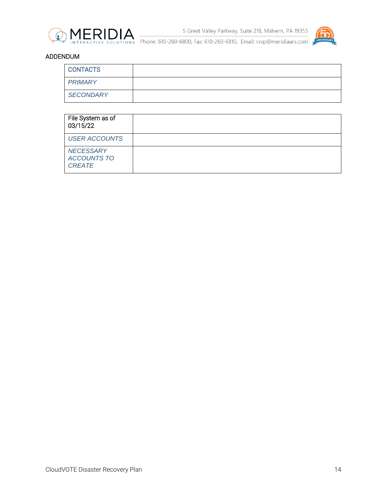



### ADDENDUM

| <b>CONTACTS</b>  |  |
|------------------|--|
| PRIMARY          |  |
| <b>SECONDARY</b> |  |

| File System as of<br>03/15/22                           |  |
|---------------------------------------------------------|--|
| <b>USER ACCOUNTS</b>                                    |  |
| <b>NECESSARY</b><br><b>ACCOUNTS TO</b><br><b>CREATE</b> |  |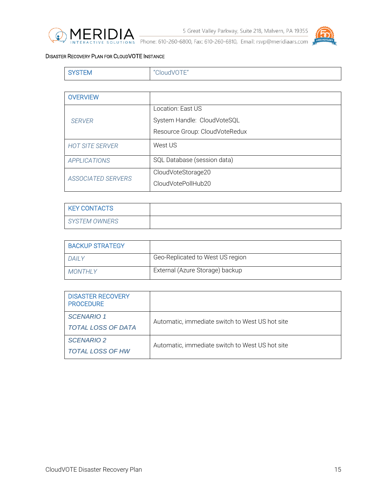



### <span id="page-14-0"></span>DISASTER RECOVERY PLAN FOR CLOUDVOTE INSTANCE

| . . | ЕM | $- - -$<br>$"$ $"$<br>$\overline{\phantom{0}}$ |
|-----|----|------------------------------------------------|
|-----|----|------------------------------------------------|

| <b>OVERVIEW</b>        |                                |
|------------------------|--------------------------------|
|                        | Location: East US              |
| <b>SERVER</b>          | System Handle: CloudVoteSQL    |
|                        | Resource Group: CloudVoteRedux |
| <b>HOT SITE SERVER</b> | West US                        |
| <b>APPLICATIONS</b>    | SQL Database (session data)    |
| ASSOCIATED SERVERS     | CloudVoteStorage20             |
|                        | CloudVotePollHub20             |

| <b>KEY CONTACTS</b> |  |
|---------------------|--|
| SYSTEM OWNERS       |  |

| <b>BACKUP STRATEGY</b> |                                  |
|------------------------|----------------------------------|
| DAII Y                 | Geo-Replicated to West US region |
| MONTHI Y               | External (Azure Storage) backup  |

| <b>DISASTER RECOVERY</b><br><b>PROCEDURE</b> |                                                 |
|----------------------------------------------|-------------------------------------------------|
| <b>SCENARIO 1</b>                            | Automatic, immediate switch to West US hot site |
| TOTAL LOSS OF DATA                           |                                                 |
| <b>SCENARIO 2</b>                            | Automatic, immediate switch to West US hot site |
| <b>TOTAL LOSS OF HW</b>                      |                                                 |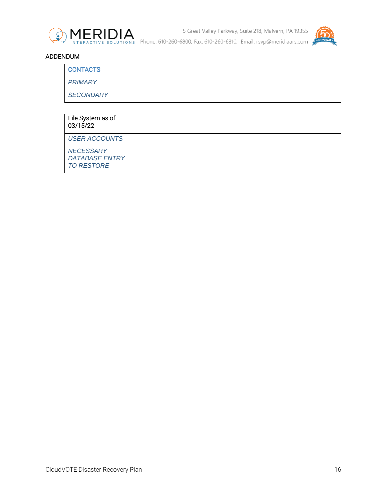



### ADDENDUM

| <b>CONTACTS</b>  |  |
|------------------|--|
| PRIMARY          |  |
| <b>SECONDARY</b> |  |

| File System as of<br>03/15/22                                  |  |
|----------------------------------------------------------------|--|
| <b>USER ACCOUNTS</b>                                           |  |
| <b>NECESSARY</b><br><b>DATABASE ENTRY</b><br><b>TO RESTORE</b> |  |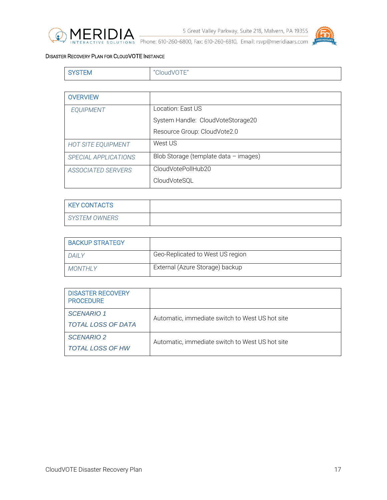



### <span id="page-16-0"></span>DISASTER RECOVERY PLAN FOR CLOUDVOTE INSTANCE

|  | ЕM | $\sim$ " $\cap$ $\sim$<br>$\overline{\phantom{0}}$ |
|--|----|----------------------------------------------------|
|--|----|----------------------------------------------------|

| <b>OVERVIEW</b>           |                                       |
|---------------------------|---------------------------------------|
| <b>EQUIPMENT</b>          | Location: East US                     |
|                           | System Handle: CloudVoteStorage20     |
|                           | Resource Group: CloudVote2.0          |
| <b>HOT SITE EQUIPMENT</b> | West US                               |
| SPECIAL APPLICATIONS      | Blob Storage (template data - images) |
| <b>ASSOCIATED SERVERS</b> | CloudVotePollHub20                    |
|                           | CloudVoteSQL                          |

| <b>KEY CONTACTS</b>  |  |
|----------------------|--|
| <b>SYSTEM OWNERS</b> |  |

| <b>BACKUP STRATEGY</b> |                                  |
|------------------------|----------------------------------|
| DAII Y                 | Geo-Replicated to West US region |
| MONTHI Y               | External (Azure Storage) backup  |

| <b>DISASTER RECOVERY</b><br><b>PROCEDURE</b> |                                                 |
|----------------------------------------------|-------------------------------------------------|
| <b>SCENARIO 1</b>                            | Automatic, immediate switch to West US hot site |
| TOTAL LOSS OF DATA                           |                                                 |
| <b>SCENARIO 2</b>                            | Automatic, immediate switch to West US hot site |
| <b>TOTAL LOSS OF HW</b>                      |                                                 |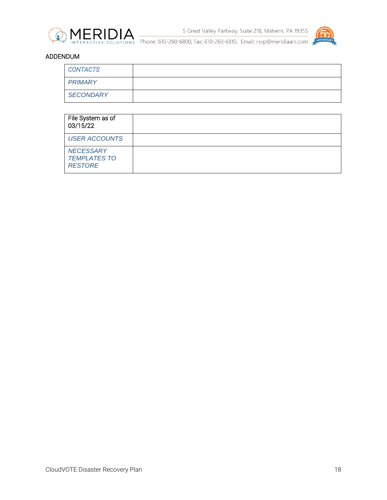



### ADDENDUM

| <b>CONTACTS</b>  |  |
|------------------|--|
| PRIMARY          |  |
| <b>SECONDARY</b> |  |

| File System as of<br>03/15/22                             |  |
|-----------------------------------------------------------|--|
| <b>USER ACCOUNTS</b>                                      |  |
| <b>NECESSARY</b><br><b>TEMPLATES TO</b><br><b>RESTORE</b> |  |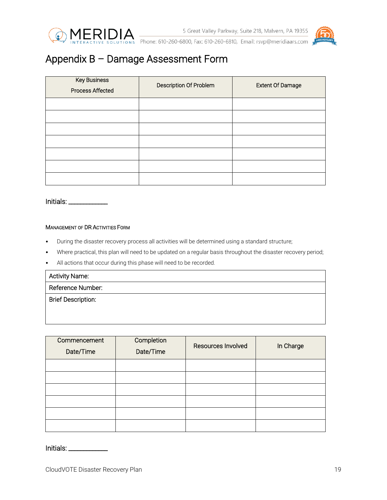





# <span id="page-18-0"></span>Appendix B – Damage Assessment Form

| <b>Key Business</b><br><b>Process Affected</b> | Description Of Problem | <b>Extent Of Damage</b> |
|------------------------------------------------|------------------------|-------------------------|
|                                                |                        |                         |
|                                                |                        |                         |
|                                                |                        |                         |
|                                                |                        |                         |
|                                                |                        |                         |
|                                                |                        |                         |
|                                                |                        |                         |

Initials: \_\_\_\_\_\_\_\_\_\_\_\_\_

#### <span id="page-18-1"></span>MANAGEMENT OF DR ACTIVITIES FORM

- During the disaster recovery process all activities will be determined using a standard structure;
- Where practical, this plan will need to be updated on a regular basis throughout the disaster recovery period;
- All actions that occur during this phase will need to be recorded.

| <b>Activity Name:</b>     |  |
|---------------------------|--|
| Reference Number:         |  |
| <b>Brief Description:</b> |  |
|                           |  |
|                           |  |

| Commencement<br>Date/Time | Completion<br>Date/Time | Resources Involved | In Charge |
|---------------------------|-------------------------|--------------------|-----------|
|                           |                         |                    |           |
|                           |                         |                    |           |
|                           |                         |                    |           |
|                           |                         |                    |           |
|                           |                         |                    |           |
|                           |                         |                    |           |

| Initials: |  |
|-----------|--|
|-----------|--|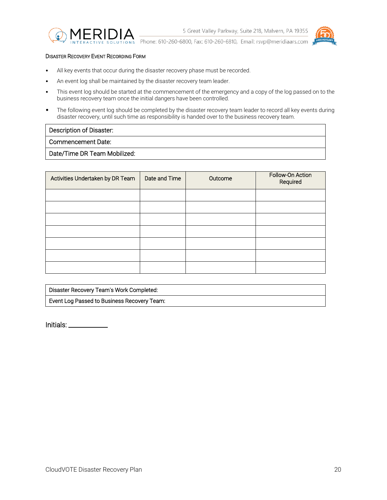



#### <span id="page-19-0"></span>DISASTER RECOVERY EVENT RECORDING FORM

- All key events that occur during the disaster recovery phase must be recorded.
- An event log shall be maintained by the disaster recovery team leader.
- This event log should be started at the commencement of the emergency and a copy of the log passed on to the business recovery team once the initial dangers have been controlled.
- The following event log should be completed by the disaster recovery team leader to record all key events during disaster recovery, until such time as responsibility is handed over to the business recovery team.

#### Description of Disaster:

### Commencement Date:

Date/Time DR Team Mobilized:

| Activities Undertaken by DR Team | Date and Time | Outcome | Follow-On Action<br>Required |
|----------------------------------|---------------|---------|------------------------------|
|                                  |               |         |                              |
|                                  |               |         |                              |
|                                  |               |         |                              |
|                                  |               |         |                              |
|                                  |               |         |                              |
|                                  |               |         |                              |
|                                  |               |         |                              |

| Disaster Recovery Team's Work Completed:    |  |
|---------------------------------------------|--|
| Event Log Passed to Business Recovery Team: |  |

Initials: \_\_\_\_\_\_\_\_\_\_\_\_\_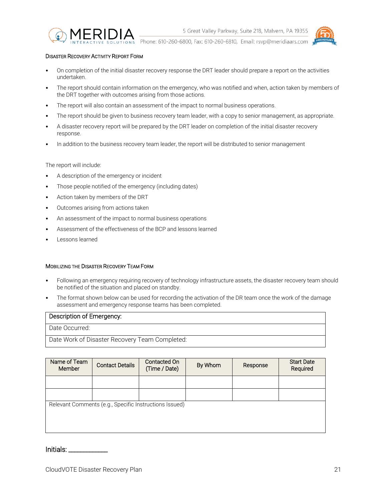

#### <span id="page-20-0"></span>DISASTER RECOVERY ACTIVITY REPORT FORM

- On completion of the initial disaster recovery response the DRT leader should prepare a report on the activities undertaken.
- The report should contain information on the emergency, who was notified and when, action taken by members of the DRT together with outcomes arising from those actions.
- The report will also contain an assessment of the impact to normal business operations.
- The report should be given to business recovery team leader, with a copy to senior management, as appropriate.
- A disaster recovery report will be prepared by the DRT leader on completion of the initial disaster recovery response.
- In addition to the business recovery team leader, the report will be distributed to senior management

The report will include:

- A description of the emergency or incident
- Those people notified of the emergency (including dates)
- Action taken by members of the DRT
- Outcomes arising from actions taken
- An assessment of the impact to normal business operations
- Assessment of the effectiveness of the BCP and lessons learned
- Lessons learned

#### <span id="page-20-1"></span>MOBILIZING THE DISASTER RECOVERY TEAM FORM

- Following an emergency requiring recovery of technology infrastructure assets, the disaster recovery team should be notified of the situation and placed on standby.
- The format shown below can be used for recording the activation of the DR team once the work of the damage assessment and emergency response teams has been completed.

#### Description of Emergency:

Date Occurred:

Date Work of Disaster Recovery Team Completed:

| Name of Team<br>Member | <b>Contact Details</b>                                 | Contacted On<br>(Time / Date) | By Whom | Response | <b>Start Date</b><br>Required |
|------------------------|--------------------------------------------------------|-------------------------------|---------|----------|-------------------------------|
|                        |                                                        |                               |         |          |                               |
|                        |                                                        |                               |         |          |                               |
|                        | Relevant Comments (e.g., Specific Instructions Issued) |                               |         |          |                               |
|                        |                                                        |                               |         |          |                               |
|                        |                                                        |                               |         |          |                               |

Initials: \_\_\_\_\_\_\_\_\_\_\_\_\_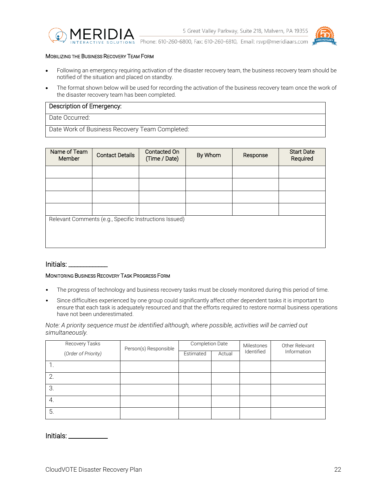



#### <span id="page-21-0"></span>MOBILIZING THE BUSINESS RECOVERY TEAM FORM

- Following an emergency requiring activation of the disaster recovery team, the business recovery team should be notified of the situation and placed on standby.
- The format shown below will be used for recording the activation of the business recovery team once the work of the disaster recovery team has been completed.

#### Description of Emergency:

Date Occurred:

Date Work of Business Recovery Team Completed:

| Name of Team<br><b>Member</b> | <b>Contact Details</b>                                 | Contacted On<br>(Time / Date) | By Whom | Response | <b>Start Date</b><br>Required |
|-------------------------------|--------------------------------------------------------|-------------------------------|---------|----------|-------------------------------|
|                               |                                                        |                               |         |          |                               |
|                               |                                                        |                               |         |          |                               |
|                               |                                                        |                               |         |          |                               |
|                               |                                                        |                               |         |          |                               |
|                               | Relevant Comments (e.g., Specific Instructions Issued) |                               |         |          |                               |
|                               |                                                        |                               |         |          |                               |
|                               |                                                        |                               |         |          |                               |
|                               |                                                        |                               |         |          |                               |

#### Initials: \_

#### <span id="page-21-1"></span>MONITORING BUSINESS RECOVERY TASK PROGRESS FORM

- The progress of technology and business recovery tasks must be closely monitored during this period of time.
- Since difficulties experienced by one group could significantly affect other dependent tasks it is important to ensure that each task is adequately resourced and that the efforts required to restore normal business operations have not been underestimated.

*Note: A priority sequence must be identified although, where possible, activities will be carried out simultaneously.*

|    | Recovery Tasks      | Person(s) Responsible | Completion Date |        | Milestones | Other Relevant<br>Information |
|----|---------------------|-----------------------|-----------------|--------|------------|-------------------------------|
|    | (Order of Priority) |                       | Estimated       | Actual | Identified |                               |
|    |                     |                       |                 |        |            |                               |
|    |                     |                       |                 |        |            |                               |
| 3  |                     |                       |                 |        |            |                               |
| 4. |                     |                       |                 |        |            |                               |
| 5. |                     |                       |                 |        |            |                               |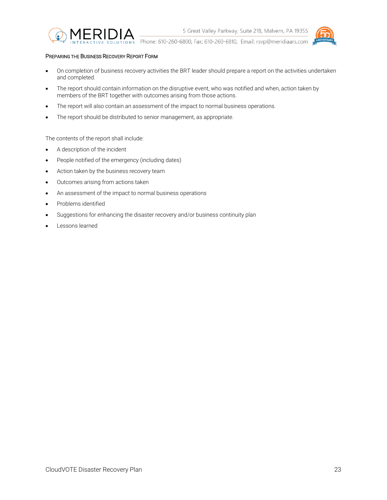

<span id="page-22-0"></span>PREPARING THE BUSINESS RECOVERY REPORT FORM

- On completion of business recovery activities the BRT leader should prepare a report on the activities undertaken and completed.
- The report should contain information on the disruptive event, who was notified and when, action taken by members of the BRT together with outcomes arising from those actions.
- The report will also contain an assessment of the impact to normal business operations.
- The report should be distributed to senior management, as appropriate.

The contents of the report shall include:

- A description of the incident
- People notified of the emergency (including dates)
- Action taken by the business recovery team
- Outcomes arising from actions taken
- An assessment of the impact to normal business operations
- Problems identified
- Suggestions for enhancing the disaster recovery and/or business continuity plan
- Lessons learned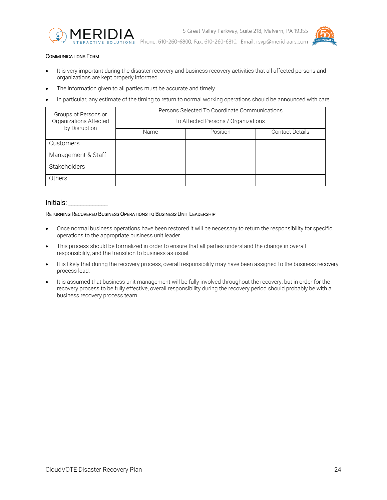



#### <span id="page-23-0"></span>COMMUNICATIONS FORM

- It is very important during the disaster recovery and business recovery activities that all affected persons and organizations are kept properly informed.
- The information given to all parties must be accurate and timely.
- In particular, any estimate of the timing to return to normal working operations should be announced with care.

| Groups of Persons or<br>Organizations Affected<br>by Disruption | Persons Selected To Coordinate Communications |          |                        |
|-----------------------------------------------------------------|-----------------------------------------------|----------|------------------------|
|                                                                 | to Affected Persons / Organizations           |          |                        |
|                                                                 | Name                                          | Position | <b>Contact Details</b> |
| <b>Customers</b>                                                |                                               |          |                        |
| Management & Staff                                              |                                               |          |                        |
| Stakeholders                                                    |                                               |          |                        |
| Others                                                          |                                               |          |                        |

#### Initials:

#### <span id="page-23-1"></span>RETURNING RECOVERED BUSINESS OPERATIONS TO BUSINESS UNIT LEADERSHIP

- Once normal business operations have been restored it will be necessary to return the responsibility for specific operations to the appropriate business unit leader.
- This process should be formalized in order to ensure that all parties understand the change in overall responsibility, and the transition to business-as-usual.
- It is likely that during the recovery process, overall responsibility may have been assigned to the business recovery process lead.
- It is assumed that business unit management will be fully involved throughout the recovery, but in order for the recovery process to be fully effective, overall responsibility during the recovery period should probably be with a business recovery process team.